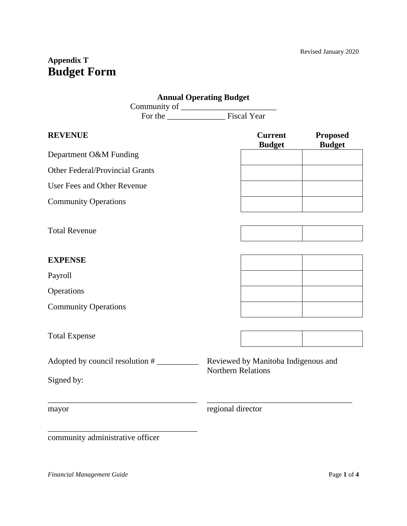## **Appendix T Budget Form**

|                                        | <b>Annual Operating Budget</b>                                   |                                  |  |  |  |  |
|----------------------------------------|------------------------------------------------------------------|----------------------------------|--|--|--|--|
|                                        | Community of <u>Fiscal Year</u><br>Fiscal Year                   |                                  |  |  |  |  |
| <b>REVENUE</b>                         | <b>Current</b><br><b>Budget</b>                                  | <b>Proposed</b><br><b>Budget</b> |  |  |  |  |
| Department O&M Funding                 |                                                                  |                                  |  |  |  |  |
| <b>Other Federal/Provincial Grants</b> |                                                                  |                                  |  |  |  |  |
| User Fees and Other Revenue            |                                                                  |                                  |  |  |  |  |
| <b>Community Operations</b>            |                                                                  |                                  |  |  |  |  |
| <b>Total Revenue</b>                   |                                                                  |                                  |  |  |  |  |
| <b>EXPENSE</b>                         |                                                                  |                                  |  |  |  |  |
| Payroll                                |                                                                  |                                  |  |  |  |  |
| Operations                             |                                                                  |                                  |  |  |  |  |
| <b>Community Operations</b>            |                                                                  |                                  |  |  |  |  |
| <b>Total Expense</b>                   |                                                                  |                                  |  |  |  |  |
| Adopted by council resolution #        | Reviewed by Manitoba Indigenous and<br><b>Northern Relations</b> |                                  |  |  |  |  |
| Signed by:                             |                                                                  |                                  |  |  |  |  |
| mayor                                  | regional director                                                |                                  |  |  |  |  |
| community administrative officer       |                                                                  |                                  |  |  |  |  |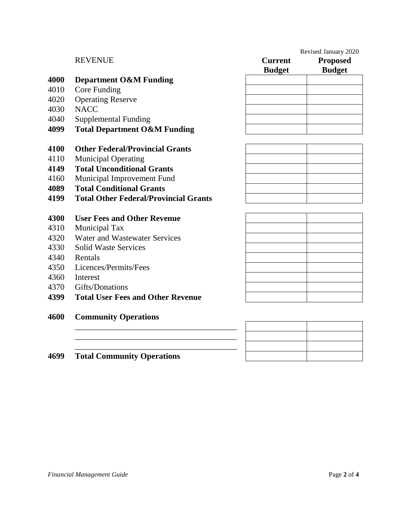|      |                                              |                | Revised January 2020 |  |  |
|------|----------------------------------------------|----------------|----------------------|--|--|
|      | <b>REVENUE</b>                               | <b>Current</b> | <b>Proposed</b>      |  |  |
|      |                                              | <b>Budget</b>  | <b>Budget</b>        |  |  |
| 4000 | <b>Department O&amp;M Funding</b>            |                |                      |  |  |
| 4010 | Core Funding                                 |                |                      |  |  |
| 4020 | <b>Operating Reserve</b>                     |                |                      |  |  |
| 4030 | <b>NACC</b>                                  |                |                      |  |  |
| 4040 | <b>Supplemental Funding</b>                  |                |                      |  |  |
| 4099 | <b>Total Department O&amp;M Funding</b>      |                |                      |  |  |
| 4100 | <b>Other Federal/Provincial Grants</b>       |                |                      |  |  |
| 4110 | <b>Municipal Operating</b>                   |                |                      |  |  |
| 4149 | <b>Total Unconditional Grants</b>            |                |                      |  |  |
| 4160 | Municipal Improvement Fund                   |                |                      |  |  |
| 4089 | <b>Total Conditional Grants</b>              |                |                      |  |  |
| 4199 | <b>Total Other Federal/Provincial Grants</b> |                |                      |  |  |
| 4300 | <b>User Fees and Other Revenue</b>           |                |                      |  |  |
| 4310 | Municipal Tax                                |                |                      |  |  |
| 4320 | Water and Wastewater Services                |                |                      |  |  |
| 4330 | <b>Solid Waste Services</b>                  |                |                      |  |  |
| 4340 | Rentals                                      |                |                      |  |  |
| 4350 | Licences/Permits/Fees                        |                |                      |  |  |
| 4360 | Interest                                     |                |                      |  |  |
| 4370 | Gifts/Donations                              |                |                      |  |  |
| 4399 | <b>Total User Fees and Other Revenue</b>     |                |                      |  |  |
|      |                                              |                |                      |  |  |
| 4600 | <b>Community Operations</b>                  |                |                      |  |  |
|      |                                              |                |                      |  |  |
|      |                                              |                |                      |  |  |

**Total Community Operations**

\_\_\_\_\_\_\_\_\_\_\_\_\_\_\_\_\_\_\_\_\_\_\_\_\_\_\_\_\_\_\_\_\_\_\_\_\_\_\_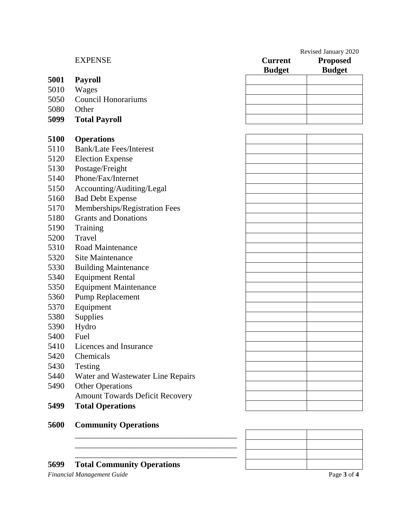|      |                                        |                | Revised January 2020 |  |  |  |  |
|------|----------------------------------------|----------------|----------------------|--|--|--|--|
|      | <b>EXPENSE</b>                         | <b>Current</b> | <b>Proposed</b>      |  |  |  |  |
|      |                                        | <b>Budget</b>  | <b>Budget</b>        |  |  |  |  |
| 5001 | <b>Payroll</b>                         |                |                      |  |  |  |  |
| 5010 | Wages                                  |                |                      |  |  |  |  |
| 5050 | <b>Council Honorariums</b>             |                |                      |  |  |  |  |
| 5080 | Other                                  |                |                      |  |  |  |  |
| 5099 | <b>Total Payroll</b>                   |                |                      |  |  |  |  |
| 5100 | <b>Operations</b>                      |                |                      |  |  |  |  |
| 5110 | <b>Bank/Late Fees/Interest</b>         |                |                      |  |  |  |  |
| 5120 | <b>Election Expense</b>                |                |                      |  |  |  |  |
| 5130 | Postage/Freight                        |                |                      |  |  |  |  |
| 5140 | Phone/Fax/Internet                     |                |                      |  |  |  |  |
| 5150 | Accounting/Auditing/Legal              |                |                      |  |  |  |  |
| 5160 | <b>Bad Debt Expense</b>                |                |                      |  |  |  |  |
| 5170 | Memberships/Registration Fees          |                |                      |  |  |  |  |
| 5180 | <b>Grants and Donations</b>            |                |                      |  |  |  |  |
| 5190 | Training                               |                |                      |  |  |  |  |
| 5200 | Travel                                 |                |                      |  |  |  |  |
| 5310 | <b>Road Maintenance</b>                |                |                      |  |  |  |  |
| 5320 | Site Maintenance                       |                |                      |  |  |  |  |
| 5330 | <b>Building Maintenance</b>            |                |                      |  |  |  |  |
| 5340 | <b>Equipment Rental</b>                |                |                      |  |  |  |  |
| 5350 | <b>Equipment Maintenance</b>           |                |                      |  |  |  |  |
| 5360 | Pump Replacement                       |                |                      |  |  |  |  |
| 5370 | Equipment                              |                |                      |  |  |  |  |
| 5380 | Supplies                               |                |                      |  |  |  |  |
| 5390 | Hydro                                  |                |                      |  |  |  |  |
| 5400 | Fuel                                   |                |                      |  |  |  |  |
| 5410 | Licences and Insurance                 |                |                      |  |  |  |  |
| 5420 | Chemicals                              |                |                      |  |  |  |  |
| 5430 | Testing                                |                |                      |  |  |  |  |
| 5440 | Water and Wastewater Line Repairs      |                |                      |  |  |  |  |
| 5490 | <b>Other Operations</b>                |                |                      |  |  |  |  |
|      | <b>Amount Towards Deficit Recovery</b> |                |                      |  |  |  |  |
| 5499 | <b>Total Operations</b>                |                |                      |  |  |  |  |
| 5600 | <b>Community Operations</b>            |                |                      |  |  |  |  |
|      |                                        |                |                      |  |  |  |  |
|      |                                        |                |                      |  |  |  |  |
|      |                                        |                |                      |  |  |  |  |

## **Total Community Operations**

\_\_\_\_\_\_\_\_\_\_\_\_\_\_\_\_\_\_\_\_\_\_\_\_\_\_\_\_\_\_\_\_\_\_\_\_\_\_\_

*Financial Management Guide* Page 3 of 4